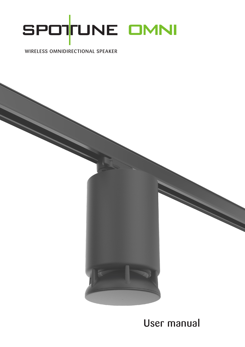

### WIRELESS OMNIDIRECTIONAL SPEAKER



User manual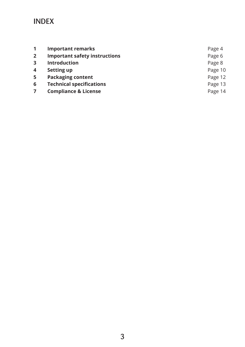### INDEX

|                | <b>Important remarks</b>             | Page 4  |
|----------------|--------------------------------------|---------|
| $\overline{2}$ | <b>Important safety instructions</b> | Page 6  |
| $\mathbf{3}$   | <b>Introduction</b>                  | Page 8  |
| 4              | <b>Setting up</b>                    | Page 10 |
| 5              | <b>Packaging content</b>             | Page 12 |
| 6              | <b>Technical specifications</b>      | Page 13 |
|                | <b>Compliance &amp; License</b>      | Page 14 |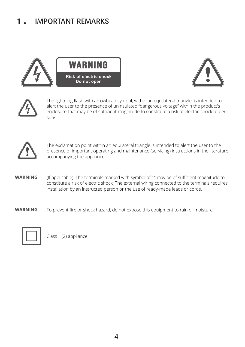#### IMPORTANT REMARKS 1.









The lightning flash with arrowhead symbol, within an equilateral triangle, is intended to alert the user to the presence of uninsulated "dangerous voltage" within the product's enclosure that may be of sufficient magnitude to constitute a risk of electric shock to persons.



The exclamation point within an equilateral triangle is intended to alert the user to the presence of important operating and maintenance (servicing) instructions in the literature accompanying the appliance.

(If applicable): The terminals marked with symbol of " " may be of sufficient magnitude to constitute a risk of electric shock. The external wiring connected to the terminals requires installation by an instructed person or the use of ready-made leads or cords. **WARNING**

To prevent fire or shock hazard, do not expose this equipment to rain or moisture. **WARNING**



Class II (2) appliance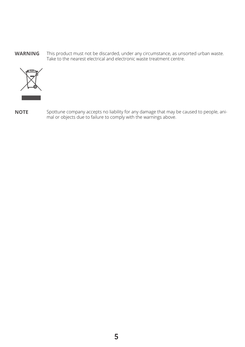This product must not be discarded, under any circumstance, as unsorted urban waste. Take to the nearest electrical and electronic waste treatment centre. **WARNING**



Spottune company accepts no liability for any damage that may be caused to people, animal or objects due to failure to comply with the warnings above. **NOTE**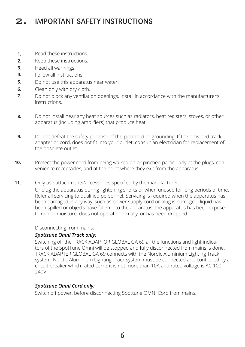### 2. IMPORTANT SAFETY INSTRUCTIONS

- Read these instructions. **1.**
- Keep these instructions. **2.**
- Heed all warnings. **3.**
- Follow all instructions. **4.**
- Do not use this apparatus near water. **5.**
- Clean only with dry cloth. **6.**
- Do not block any ventilation openings. Install in accordance with the manufacturer's instructions. **7.**
- Do not install near any heat sources such as radiators, heat registers, stoves, or other apparatus (including amplifiers) that produce heat. **8.**
- Do not defeat the safety purpose of the polarized or grounding. If the provided track adapter or cord, does not fit into your outlet, consult an electrician for replacement of the obsolete outlet. **9.**
- Protect the power cord from being walked on or pinched particularly at the plugs, convenience receptacles, and at the point where they exit from the apparatus. **10.**
- Only use attachments/accessories specified by the manufacturer. Unplug the apparatus during lightening shorts or when unused for long periods of time. Refer all servicing to qualified personnel. Servicing is required when the apparatus has been damaged in any way, such as power supply cord or plug is damaged, liquid has been spilled or objects have fallen into the apparatus, the apparatus has been exposed to rain or moisture, does not operate normally, or has been dropped. **11.**

#### Disconnecting from mains:

#### *Spotttune Omni Track only:*

Switching off the TRACK ADAPTOR GLOBAL GA 69 all the functions and light indicators of the SpotTune Omni will be stopped and fully disconnected from mains is done. TRACK ADAPTER GLOBAL GA 69 connects with the Nordic Aluminium Lighting Track system. Nordic Aluminium Lighting Track system must be connected and controlled by a circuit breaker which rated current is not more than 10A and rated voltage is AC 100- 240V.

### *Spotttune Omni Cord only:*

Switch off power, before disconnecting Spottune OMNI Cord from mains.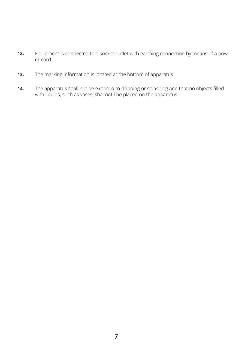- Equipment is connected to a socket-outlet with earthing connection by means of a power cord. **12.**
- The marking information is located at the bottom of apparatus. **13.**
- The apparatus shall not be exposed to dripping or splashing and that no objects filled with liquids, such as vases, shal not l be placed on the apparatus. **14.**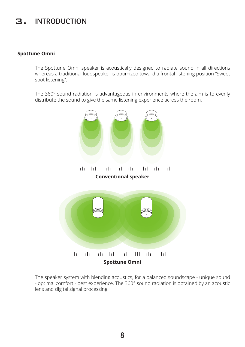## 3. INTRODUCTION

### **Spottune Omni**

The Spottune Omni speaker is acoustically designed to radiate sound in all directions whereas a traditional loudspeaker is optimized toward a frontal listening position "Sweet spot listening".

The 360° sound radiation is advantageous in environments where the aim is to evenly distribute the sound to give the same listening experience across the room.



### **Conventional speaker**



The speaker system with blending acoustics, for a balanced soundscape - unique sound - optimal comfort - best experience. The 360° sound radiation is obtained by an acoustic lens and digital signal processing.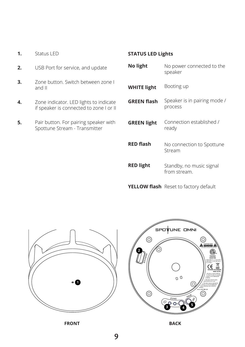- **1.** Status LED
- **2.** USB Port for service, and update
- **3.** Zone button. Switch between zone I and II
- **4.**  Zone indicator. LED lights to indicate if speaker is connected to zone I or II
- **5.** Pair button. For pairing speaker with Spottune Stream - Transmitter

### **STATUS LED Lights**

| <b>No light</b>    | No power connected to the<br>speaker     |
|--------------------|------------------------------------------|
| <b>WHITE light</b> | Booting up                               |
| <b>GREEN flash</b> | Speaker is in pairing mode /<br>process  |
| <b>GREEN light</b> | Connection established /<br>ready        |
| <b>RED flash</b>   | No connection to Spottune<br>Stream      |
| <b>RED light</b>   | Standby, no music signal<br>from stream. |

**YELLOW flash** Reset to factory default



**FRONT BACK**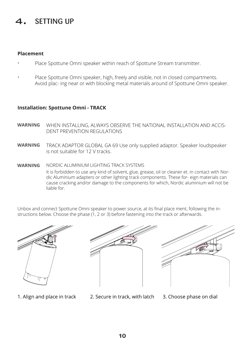# SFTTING UP

### **Placement**

- Place Spottune Omni speaker within reach of Spottune Stream transmitter. •
- Place Spottune Omni speaker, high, freely and visible, not in closed compartments. Avoid plac- ing near or with blocking metal materials around of Spottune Omni speaker. •

### **Installation: Spottune Omni - TRACK**

- WHEN INSTALLING, ALWAYS OBSERVE THE NATIONAL INSTALLATION AND ACCIS-DENT PREVENTION REGULATIONS **WARNING**
- TRACK ADAPTOR GLOBAL GA 69 Use only supplied adaptor. Speaker loudspeaker is not suitable for 12 V tracks. **WARNING**
- NORDIC ALUMINIUM LIGHTING TRACK SYSTEMS It is forbidden to use any kind of solvent, glue, grease, oil or cleaner et. in contact with Nordic Aluminium adapters or other lighting track components. These for- eign materials can cause cracking and/or damage to the components for which, Nordic aluminium will not be liable for. **WARNING**

Unbox and connect Spottune Omni speaker to power source, at its final place ment, following the instructions below. Choose the phase (1, 2 or 3) before fastening into the track or afterwards.





- 
- 1. Align and place in track 2. Secure in track, with latch 3. Choose phase on dial
-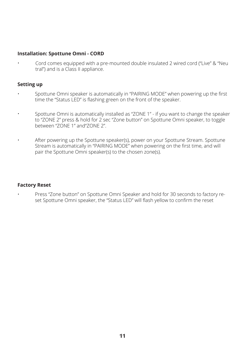#### **Installation: Spottune Omni - CORD**

Cord comes equipped with a pre-mounted double insulated 2 wired cord ("Live" & "Neu tral") and is a Class II appliance. •

#### **Setting up**

- Spottune Omni speaker is automatically in "PAIRING MODE" when powering up the first time the "Status LED" is flashing green on the front of the speaker. •
- Spottune Omni is automatically installed as "ZONE 1" if you want to change the speaker to "ZONE 2" press & hold for 2 sec "Zone button" on Spottune Omni speaker, to toggle between "ZONE 1" and"ZONE 2". •
- After powering up the Spottune speaker(s), power on your Spottune Stream. Spottune Stream is automatically in "PAIRING MODE" when powering on the first time, and will pair the Spottune Omni speaker(s) to the chosen zone(s). •

#### **Factory Reset**

•

Press "Zone button" on Spottune Omni Speaker and hold for 30 seconds to factory reset Spottune Omni speaker, the "Status LED" will flash yellow to confirm the reset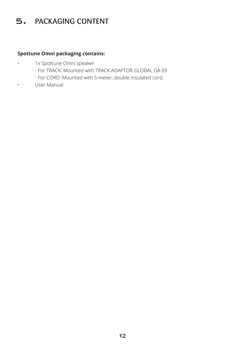## 5. PACKAGING CONTENT

### **Spottune Omni packaging contains:**

- 1x Spottune Omni speaker •
	- For TRACK: Mounted with TRACK ADAPTOR GLOBAL GA 69
	- For CORD: Mounted with 5 meter, double insulated cord.
	- User Manual

•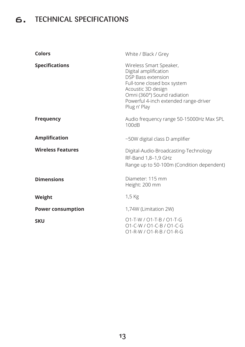# 6. TECHNICAL SPECIFICATIONS

| <b>Colors</b>            | White / Black / Grey                                                                                                                                                                                                       |
|--------------------------|----------------------------------------------------------------------------------------------------------------------------------------------------------------------------------------------------------------------------|
| <b>Specifications</b>    | Wireless Smart Speaker,<br>Digital amplification<br><b>DSP Bass extension</b><br>Full-tone closed box system<br>Acoustic 3D design<br>Omni (360°) Sound radiation<br>Powerful 4-inch extended range-driver<br>Plug n' Play |
| <b>Frequency</b>         | Audio frequency range 50-15000Hz Max SPL<br>100dB                                                                                                                                                                          |
| <b>Amplification</b>     | ~50W digital class D amplifier                                                                                                                                                                                             |
| <b>Wireless Features</b> | Digital-Audio-Broadcasting-Technology<br>RF-Band 1,8-1,9 GHz<br>Range up to 50-100m (Condition dependent)                                                                                                                  |
| <b>Dimensions</b>        | Diameter: 115 mm<br>Height: 200 mm                                                                                                                                                                                         |
| Weight                   | 1,5 Kg                                                                                                                                                                                                                     |
| <b>Power consumption</b> | 1,74W (Limitation 2W)                                                                                                                                                                                                      |
| <b>SKU</b>               | 01-T-W / 01-T-B / 01-T-G<br>O1-C-W / O1-C-B / O1-C-G<br>01-R-W / 01-R-B / 01-R-G                                                                                                                                           |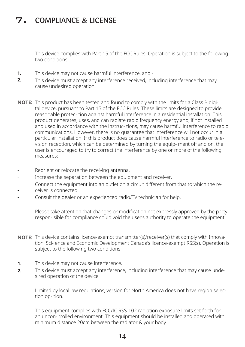# 7. COMPLIANCE & LICENSE

This device complies with Part 15 of the FCC Rules. Operation is subject to the following two conditions:

- **1.** This device may not cause harmful interference, and -
- **2.** This device must accept any interference received, including interference that may cause undesired operation.
- **NOTE:** This product has been tested and found to comply with the limits for a Class B digital device, pursuant to Part 15 of the FCC Rules. These limits are designed to provide reasonable protec- tion against harmful interference in a residential installation. This product generates, uses, and can radiate radio frequency energy and, if not installed and used in accordance with the instruc- tions, may cause harmful interference to radio communications. However, there is no guarantee that interference will not occur in a particular installation. If this product does cause harmful interference to radio or television reception, which can be determined by turning the equip- ment off and on, the user is encouraged to try to correct the interference by one or more of the following measures:
- Reorient or relocate the receiving antenna. -
- Increase the separation between the equipment and receiver. -
- Connect the equipment into an outlet on a circuit different from that to which the receiver is connected.
- -
- Consult the dealer or an experienced radio/TV technician for help. -

Please take attention that changes or modification not expressly approved by the party respon- sible for compliance could void the user's authority to operate the equipment.

- **NOTE:** This device contains licence-exempt transmitter(s)/receiver(s) that comply with Innovation, Sci- ence and Economic Development Canada's licence-exempt RSS(s). Operation is subject to the following two conditions:
- This device may not cause interference. **1.**
- This device must accept any interference, including interference that may cause undesired operation of the device. **2.**

Limited by local law regulations, version for North America does not have region selection op- tion.

This equipment complies with FCC/IC RSS-102 radiation exposure limits set forth for an uncon- trolled environment. This equipment should be installed and operated with minimum distance 20cm between the radiator & your body.